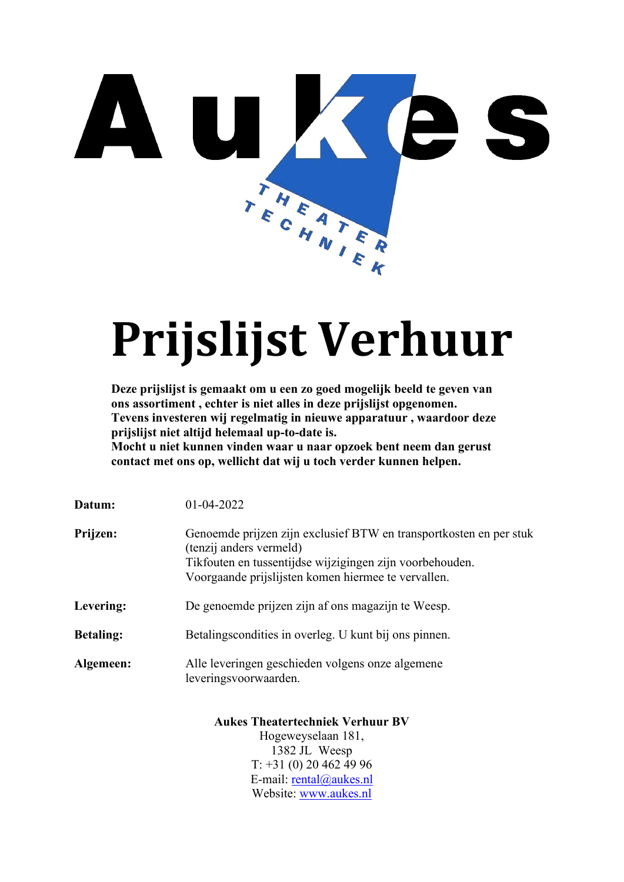

# **Prijslijst Verhuur**

**Deze prijslijst is gemaakt om u een zo goed mogelijk beeld te geven van ons assortiment , echter is niet alles in deze prijslijst opgenomen. Tevens investeren wij regelmatig in nieuwe apparatuur , waardoor deze prijslijst niet altijd helemaal up-to-date is.**

**Mocht u niet kunnen vinden waar u naar opzoek bent neem dan gerust contact met ons op, wellicht dat wij u toch verder kunnen helpen.**

| Datum:           | 01-04-2022                                                                                                                                                                                                       |
|------------------|------------------------------------------------------------------------------------------------------------------------------------------------------------------------------------------------------------------|
| Prijzen:         | Genoemde prijzen zijn exclusief BTW en transportkosten en per stuk<br>(tenzij anders vermeld)<br>Tikfouten en tussentijdse wijzigingen zijn voorbehouden.<br>Voorgaande prijslijsten komen hiermee te vervallen. |
| Levering:        | De genoemde prijzen zijn af ons magazijn te Weesp.                                                                                                                                                               |
| <b>Betaling:</b> | Betalings condities in overleg. U kunt bij ons pinnen.                                                                                                                                                           |
| Algemeen:        | Alle leveringen geschieden volgens onze algemene<br>leveringsvoorwaarden.                                                                                                                                        |
|                  | <b>Aukes Theatertechniek Verhuur BV</b><br>$\mu_{\alpha\alpha\gamma\gamma\gamma\gamma\gamma\gamma\gamma\gamma\gamma\gamma}$ 101                                                                                  |

Hogeweyselaan 181, 1382 JL Weesp T: +31 (0) 20 462 49 96 E-mail: [rental@aukes.nl](mailto:rental@aukes.nl) Website: [www.aukes.nl](http://www.aukes.nl/)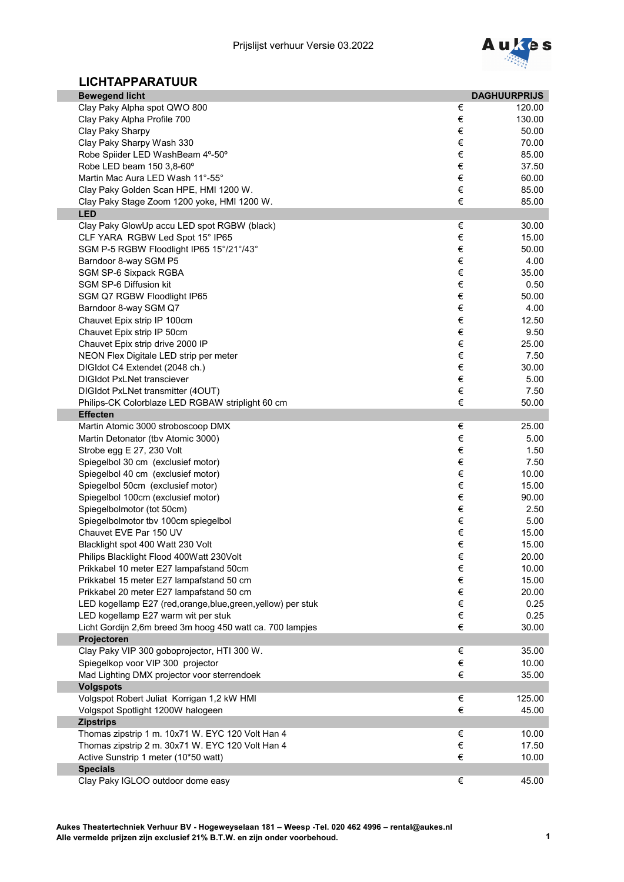

## **LICHTAPPARATUUR**

| <b>Bewegend licht</b>                                           |            | <b>DAGHUURPRIJS</b> |
|-----------------------------------------------------------------|------------|---------------------|
| Clay Paky Alpha spot QWO 800                                    | €          | 120.00              |
| Clay Paky Alpha Profile 700                                     | €          | 130.00              |
| Clay Paky Sharpy                                                | €          | 50.00               |
| Clay Paky Sharpy Wash 330                                       | €          | 70.00               |
| Robe Spiider LED WashBeam 4°-50°                                | $\in$      | 85.00               |
| Robe LED beam 150 3,8-60°                                       | €          | 37.50               |
| Martin Mac Aura LED Wash 11°-55°                                | $\in$      | 60.00               |
| Clay Paky Golden Scan HPE, HMI 1200 W.                          | $\in$<br>€ | 85.00               |
| Clay Paky Stage Zoom 1200 yoke, HMI 1200 W.<br><b>LED</b>       |            | 85.00               |
| Clay Paky GlowUp accu LED spot RGBW (black)                     | $\in$      | 30.00               |
| CLF YARA RGBW Led Spot 15° IP65                                 | $\in$      | 15.00               |
| SGM P-5 RGBW Floodlight IP65 15°/21°/43°                        | €          | 50.00               |
| Barndoor 8-way SGM P5                                           | €          | 4.00                |
| SGM SP-6 Sixpack RGBA                                           | €          | 35.00               |
| SGM SP-6 Diffusion kit                                          | €          | 0.50                |
| SGM Q7 RGBW Floodlight IP65                                     | €          | 50.00               |
| Barndoor 8-way SGM Q7                                           | €          | 4.00                |
| Chauvet Epix strip IP 100cm                                     | €          | 12.50               |
| Chauvet Epix strip IP 50cm                                      | €          | 9.50                |
| Chauvet Epix strip drive 2000 IP                                | €          | 25.00               |
| NEON Flex Digitale LED strip per meter                          | €          | 7.50                |
| DIGIdot C4 Extendet (2048 ch.)                                  | €          | 30.00               |
| <b>DIGIdot PxLNet transciever</b>                               | €          | 5.00                |
| DIGIdot PxLNet transmitter (4OUT)                               | €          | 7.50                |
| Philips-CK Colorblaze LED RGBAW striplight 60 cm                | €          | 50.00               |
| <b>Effecten</b>                                                 |            |                     |
| Martin Atomic 3000 stroboscoop DMX                              | €<br>€     | 25.00               |
| Martin Detonator (tbv Atomic 3000)                              | $\in$      | 5.00<br>1.50        |
| Strobe egg E 27, 230 Volt<br>Spiegelbol 30 cm (exclusief motor) | €          | 7.50                |
| Spiegelbol 40 cm (exclusief motor)                              | $\in$      | 10.00               |
| Spiegelbol 50cm (exclusief motor)                               | €          | 15.00               |
| Spiegelbol 100cm (exclusief motor)                              | €          | 90.00               |
| Spiegelbolmotor (tot 50cm)                                      | $\in$      | 2.50                |
| Spiegelbolmotor tbv 100cm spiegelbol                            | $\in$      | 5.00                |
| Chauvet EVE Par 150 UV                                          | €          | 15.00               |
| Blacklight spot 400 Watt 230 Volt                               | €          | 15.00               |
| Philips Blacklight Flood 400Watt 230Volt                        | €          | 20.00               |
| Prikkabel 10 meter E27 lampafstand 50cm                         | €          | 10.00               |
| Prikkabel 15 meter E27 lampafstand 50 cm                        | €          | 15.00               |
| Prikkabel 20 meter E27 lampafstand 50 cm                        | €          | 20.00               |
| LED kogellamp E27 (red,orange,blue,green,yellow) per stuk       | €          | 0.25                |
| LED kogellamp E27 warm wit per stuk                             | €          | 0.25                |
| Licht Gordijn 2,6m breed 3m hoog 450 watt ca. 700 lampjes       | €          | 30.00               |
| Projectoren                                                     |            |                     |
| Clay Paky VIP 300 goboprojector, HTI 300 W.                     | €          | 35.00               |
| Spiegelkop voor VIP 300 projector                               | €          | 10.00               |
| Mad Lighting DMX projector voor sterrendoek                     | €          | 35.00               |
| <b>Volgspots</b><br>Volgspot Robert Juliat Korrigan 1,2 kW HMI  | €          | 125.00              |
| Volgspot Spotlight 1200W halogeen                               | €          | 45.00               |
| <b>Zipstrips</b>                                                |            |                     |
| Thomas zipstrip 1 m. 10x71 W. EYC 120 Volt Han 4                | €          | 10.00               |
| Thomas zipstrip 2 m. 30x71 W. EYC 120 Volt Han 4                | $\in$      | 17.50               |
| Active Sunstrip 1 meter (10*50 watt)                            | €          | 10.00               |
| <b>Specials</b>                                                 |            |                     |
| Clay Paky IGLOO outdoor dome easy                               | €          | 45.00               |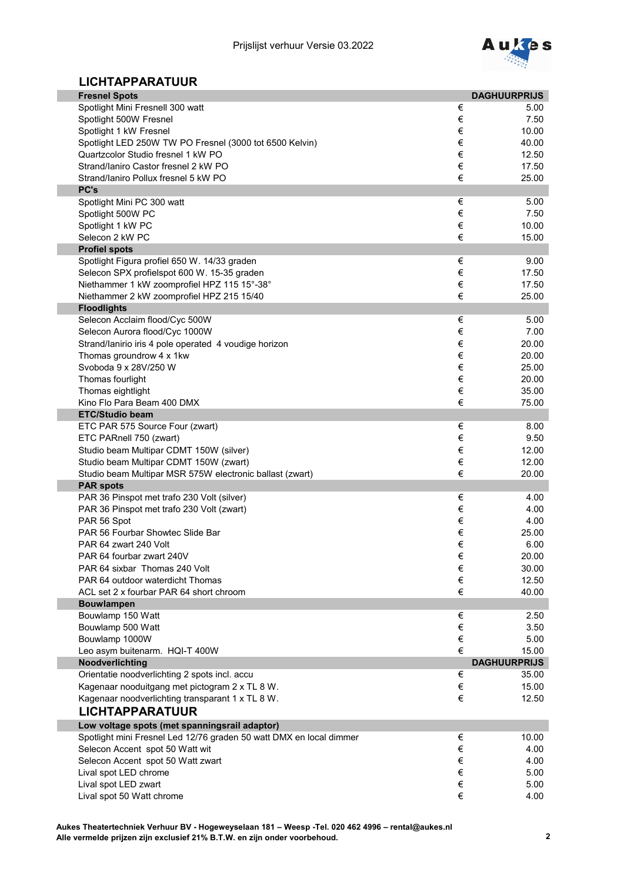

## **LICHTAPPARATUUR**

| <b>Fresnel Spots</b>                                                                       |            | <b>DAGHUURPRIJS</b> |
|--------------------------------------------------------------------------------------------|------------|---------------------|
| Spotlight Mini Fresnell 300 watt                                                           | €          | 5.00                |
| Spotlight 500W Fresnel                                                                     | €          | 7.50                |
| Spotlight 1 kW Fresnel                                                                     | €          | 10.00               |
| Spotlight LED 250W TW PO Fresnel (3000 tot 6500 Kelvin)                                    | €          | 40.00               |
| Quartzcolor Studio fresnel 1 kW PO                                                         | €          | 12.50               |
| Strand/laniro Castor fresnel 2 kW PO                                                       | $\in$      | 17.50               |
| Strand/laniro Pollux fresnel 5 kW PO                                                       | €          | 25.00               |
| PC's                                                                                       |            |                     |
| Spotlight Mini PC 300 watt                                                                 | €          | 5.00                |
| Spotlight 500W PC                                                                          | €          | 7.50                |
| Spotlight 1 kW PC                                                                          | $\in$      | 10.00               |
| Selecon 2 kW PC                                                                            | €          | 15.00               |
| <b>Profiel spots</b>                                                                       |            |                     |
| Spotlight Figura profiel 650 W. 14/33 graden                                               | €<br>$\in$ | 9.00                |
| Selecon SPX profielspot 600 W. 15-35 graden<br>Niethammer 1 kW zoomprofiel HPZ 115 15°-38° | €          | 17.50<br>17.50      |
| Niethammer 2 kW zoomprofiel HPZ 215 15/40                                                  | €          | 25.00               |
| <b>Floodlights</b>                                                                         |            |                     |
| Selecon Acclaim flood/Cyc 500W                                                             | €          | 5.00                |
| Selecon Aurora flood/Cyc 1000W                                                             | €          | 7.00                |
| Strand/lanirio iris 4 pole operated 4 voudige horizon                                      | €          | 20.00               |
| Thomas groundrow 4 x 1kw                                                                   | €          | 20.00               |
| Svoboda 9 x 28V/250 W                                                                      | €          | 25.00               |
| Thomas fourlight                                                                           | €          | 20.00               |
| Thomas eightlight                                                                          | €          | 35.00               |
| Kino Flo Para Beam 400 DMX                                                                 | €          | 75.00               |
| <b>ETC/Studio beam</b>                                                                     |            |                     |
| ETC PAR 575 Source Four (zwart)                                                            | €          | 8.00                |
| ETC PARnell 750 (zwart)                                                                    | €          | 9.50                |
| Studio beam Multipar CDMT 150W (silver)                                                    | €          | 12.00               |
| Studio beam Multipar CDMT 150W (zwart)                                                     | €          | 12.00               |
| Studio beam Multipar MSR 575W electronic ballast (zwart)                                   | €          | 20.00               |
| <b>PAR spots</b>                                                                           |            |                     |
| PAR 36 Pinspot met trafo 230 Volt (silver)                                                 | €          | 4.00                |
| PAR 36 Pinspot met trafo 230 Volt (zwart)                                                  | €          | 4.00                |
| PAR 56 Spot                                                                                | €          | 4.00                |
| PAR 56 Fourbar Showtec Slide Bar                                                           | €          | 25.00               |
| PAR 64 zwart 240 Volt                                                                      | €          | 6.00                |
| PAR 64 fourbar zwart 240V                                                                  | €          | 20.00               |
| PAR 64 sixbar Thomas 240 Volt<br>PAR 64 outdoor waterdicht Thomas                          | €<br>€     | 30.00<br>12.50      |
| ACL set 2 x fourbar PAR 64 short chroom                                                    | €          | 40.00               |
| <b>Bouwlampen</b>                                                                          |            |                     |
| Bouwlamp 150 Watt                                                                          | €          | 2.50                |
| Bouwlamp 500 Watt                                                                          | €          | 3.50                |
| Bouwlamp 1000W                                                                             | €          | 5.00                |
| Leo asym buitenarm. HQI-T 400W                                                             | €          | 15.00               |
| Noodverlichting                                                                            |            | <b>DAGHUURPRIJS</b> |
| Orientatie noodverlichting 2 spots incl. accu                                              | €          | 35.00               |
| Kagenaar nooduitgang met pictogram 2 x TL 8 W.                                             | $\in$      | 15.00               |
| Kagenaar noodverlichting transparant 1 x TL 8 W.                                           | €          | 12.50               |
| <b>LICHTAPPARATUUR</b>                                                                     |            |                     |
| Low voltage spots (met spanningsrail adaptor)                                              |            |                     |
| Spotlight mini Fresnel Led 12/76 graden 50 watt DMX en local dimmer                        | €          | 10.00               |
| Selecon Accent spot 50 Watt wit                                                            | $\in$      | 4.00                |
| Selecon Accent spot 50 Watt zwart                                                          | $\in$      | 4.00                |
| Lival spot LED chrome                                                                      | $\in$      | 5.00                |
| Lival spot LED zwart                                                                       | $\in$      | 5.00                |
| Lival spot 50 Watt chrome                                                                  | €          | 4.00                |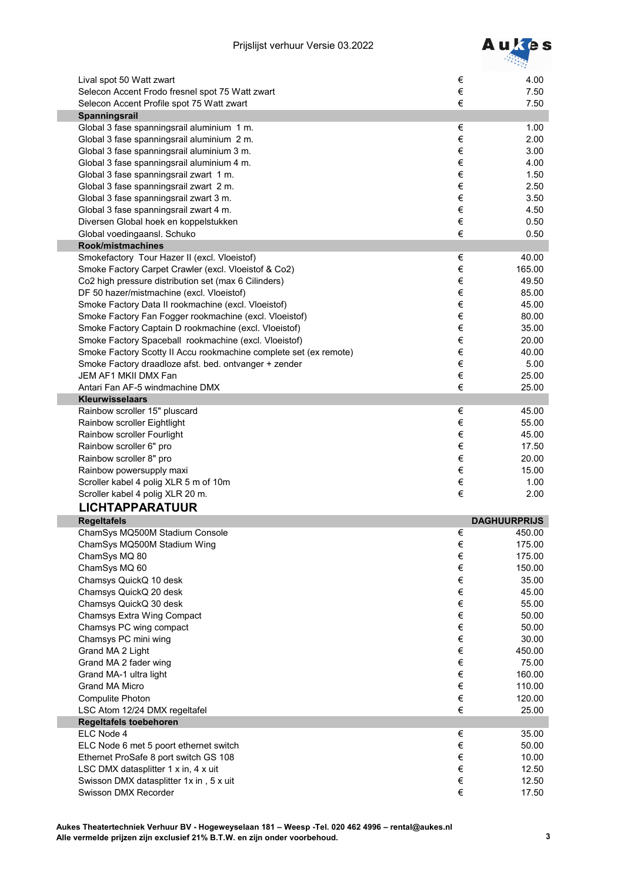

| Lival spot 50 Watt zwart                                          | €     | 4.00                |
|-------------------------------------------------------------------|-------|---------------------|
| Selecon Accent Frodo fresnel spot 75 Watt zwart                   | €     | 7.50                |
| Selecon Accent Profile spot 75 Watt zwart                         | €     | 7.50                |
| Spanningsrail                                                     |       |                     |
| Global 3 fase spanningsrail aluminium 1 m.                        | €     | 1.00                |
| Global 3 fase spanningsrail aluminium 2 m.                        | €     | 2.00                |
| Global 3 fase spanningsrail aluminium 3 m.                        | €     | 3.00                |
| Global 3 fase spanningsrail aluminium 4 m.                        | €     | 4.00                |
| Global 3 fase spanningsrail zwart 1 m.                            | €     | 1.50                |
| Global 3 fase spanningsrail zwart 2 m.                            | €     | 2.50                |
| Global 3 fase spanningsrail zwart 3 m.                            | €     | 3.50                |
| Global 3 fase spanningsrail zwart 4 m.                            | €     | 4.50                |
| Diversen Global hoek en koppelstukken                             | €     | 0.50                |
| Global voedingaansl. Schuko                                       | €     | 0.50                |
| Rook/mistmachines                                                 |       |                     |
| Smokefactory Tour Hazer II (excl. Vloeistof)                      | €     | 40.00               |
| Smoke Factory Carpet Crawler (excl. Vloeistof & Co2)              | €     | 165.00              |
| Co2 high pressure distribution set (max 6 Cilinders)              | €     | 49.50               |
| DF 50 hazer/mistmachine (excl. Vloeistof)                         | €     | 85.00               |
| Smoke Factory Data II rookmachine (excl. Vloeistof)               | €     | 45.00               |
| Smoke Factory Fan Fogger rookmachine (excl. Vloeistof)            | €     | 80.00               |
| Smoke Factory Captain D rookmachine (excl. Vloeistof)             | €     | 35.00               |
| Smoke Factory Spaceball rookmachine (excl. Vloeistof)             | €     | 20.00               |
| Smoke Factory Scotty II Accu rookmachine complete set (ex remote) | $\in$ | 40.00               |
| Smoke Factory draadloze afst. bed. ontvanger + zender             | $\in$ | 5.00                |
| JEM AF1 MKII DMX Fan                                              | €     | 25.00               |
| Antari Fan AF-5 windmachine DMX                                   | €     | 25.00               |
| <b>Kleurwisselaars</b>                                            |       |                     |
| Rainbow scroller 15" pluscard                                     | €     | 45.00               |
| Rainbow scroller Eightlight                                       | €     | 55.00               |
| Rainbow scroller Fourlight                                        | €     | 45.00               |
| Rainbow scroller 6" pro                                           | €     | 17.50               |
| Rainbow scroller 8" pro                                           | €     | 20.00               |
| Rainbow powersupply maxi                                          | €     | 15.00               |
| Scroller kabel 4 polig XLR 5 m of 10m                             | €     | 1.00                |
| Scroller kabel 4 polig XLR 20 m.                                  | €     | 2.00                |
| <b>LICHTAPPARATUUR</b>                                            |       |                     |
| <b>Regeltafels</b>                                                |       | <b>DAGHUURPRIJS</b> |
| ChamSys MQ500M Stadium Console                                    | €     | 450.00              |
| ChamSys MQ500M Stadium Wing                                       | $\in$ | 175.00              |
| ChamSys MQ 80                                                     | €     | 175.00              |
| ChamSys MQ 60                                                     | €     | 150.00              |
| Chamsys QuickQ 10 desk                                            | $\in$ | 35.00               |
| Chamsys QuickQ 20 desk                                            | €     | 45.00               |
| Chamsys QuickQ 30 desk                                            | €     | 55.00               |
| <b>Chamsys Extra Wing Compact</b>                                 | €     | 50.00               |
| Chamsys PC wing compact                                           | €     | 50.00               |
| Chamsys PC mini wing                                              | €     | 30.00               |
| Grand MA 2 Light                                                  | €     | 450.00              |
| Grand MA 2 fader wing                                             | €     | 75.00               |
| Grand MA-1 ultra light                                            | $\in$ | 160.00              |
| <b>Grand MA Micro</b>                                             | $\in$ | 110.00              |
| <b>Compulite Photon</b>                                           | €     | 120.00              |
| LSC Atom 12/24 DMX regeltafel                                     | €     | 25.00               |
| Regeltafels toebehoren                                            |       |                     |
| ELC Node 4                                                        | €     | 35.00               |
| ELC Node 6 met 5 poort ethernet switch                            | €     | 50.00               |
| Ethernet ProSafe 8 port switch GS 108                             | €     | 10.00               |
| LSC DMX datasplitter 1 x in, 4 x uit                              | €     | 12.50               |
| Swisson DMX datasplitter 1x in, 5 x uit                           | $\in$ | 12.50               |
| Swisson DMX Recorder                                              | €     | 17.50               |
|                                                                   |       |                     |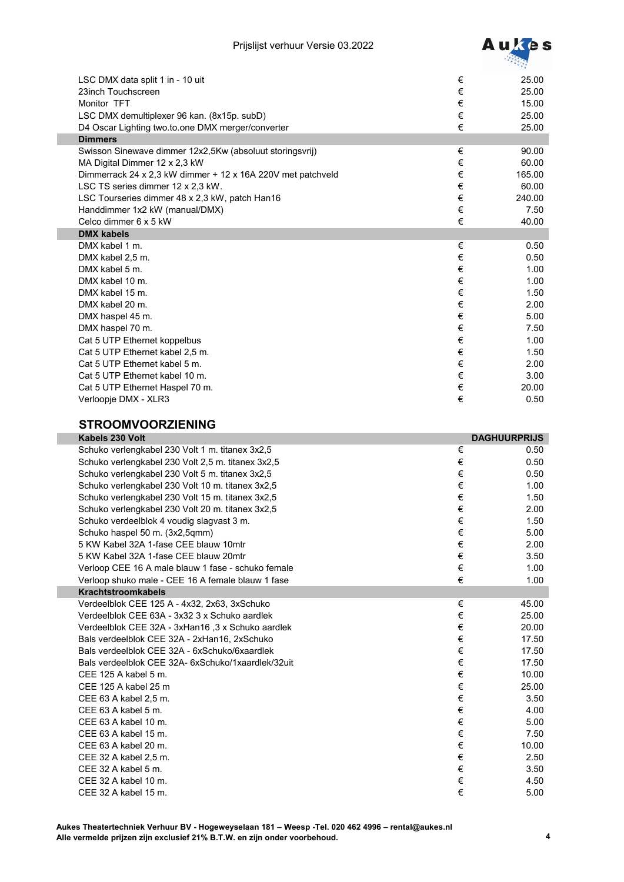

| LSC DMX data split 1 in - 10 uit                            | €     | 25.00  |
|-------------------------------------------------------------|-------|--------|
| 23inch Touchscreen                                          | €     | 25.00  |
| Monitor TFT                                                 | €     | 15.00  |
| LSC DMX demultiplexer 96 kan. (8x15p. subD)                 | €     | 25.00  |
| D4 Oscar Lighting two.to.one DMX merger/converter           | €     | 25.00  |
| <b>Dimmers</b>                                              |       |        |
| Swisson Sinewave dimmer 12x2,5Kw (absoluut storingsvrij)    | €     | 90.00  |
| MA Digital Dimmer 12 x 2,3 kW                               | €     | 60.00  |
| Dimmerrack 24 x 2,3 kW dimmer + 12 x 16A 220V met patchveld | $\in$ | 165.00 |
| LSC TS series dimmer 12 x 2,3 kW.                           | €     | 60.00  |
| LSC Tourseries dimmer 48 x 2,3 kW, patch Han16              | €     | 240.00 |
| Handdimmer 1x2 kW (manual/DMX)                              | €     | 7.50   |
| Celco dimmer 6 x 5 kW                                       | €     | 40.00  |
| <b>DMX kabels</b>                                           |       |        |
| DMX kabel 1 m.                                              | €     | 0.50   |
| DMX kabel 2,5 m.                                            | €     | 0.50   |
| DMX kabel 5 m.                                              | €     | 1.00   |
| DMX kabel 10 m.                                             | €     | 1.00   |
| DMX kabel 15 m.                                             | €     | 1.50   |
| DMX kabel 20 m.                                             | €     | 2.00   |
| DMX haspel 45 m.                                            | €     | 5.00   |
| DMX haspel 70 m.                                            | €     | 7.50   |
| Cat 5 UTP Ethernet koppelbus                                | €     | 1.00   |
| Cat 5 UTP Ethernet kabel 2,5 m.                             | $\in$ | 1.50   |
| Cat 5 UTP Ethernet kabel 5 m.                               | $\in$ | 2.00   |
| Cat 5 UTP Ethernet kabel 10 m.                              | €     | 3.00   |
| Cat 5 UTP Ethernet Haspel 70 m.                             | €     | 20.00  |
| Verloopje DMX - XLR3                                        | €     | 0.50   |

## **STROOMVOORZIENING**

| Kabels 230 Volt                                    |       | <b>DAGHUURPRIJS</b> |
|----------------------------------------------------|-------|---------------------|
| Schuko verlengkabel 230 Volt 1 m. titanex 3x2,5    | €     | 0.50                |
| Schuko verlengkabel 230 Volt 2,5 m. titanex 3x2,5  | $\in$ | 0.50                |
| Schuko verlengkabel 230 Volt 5 m. titanex 3x2,5    | €     | 0.50                |
| Schuko verlengkabel 230 Volt 10 m. titanex 3x2,5   | €     | 1.00                |
| Schuko verlengkabel 230 Volt 15 m. titanex 3x2,5   | €     | 1.50                |
| Schuko verlengkabel 230 Volt 20 m. titanex 3x2,5   | $\in$ | 2.00                |
| Schuko verdeelblok 4 voudig slagvast 3 m.          | €     | 1.50                |
| Schuko haspel 50 m. (3x2,5qmm)                     | €     | 5.00                |
| 5 KW Kabel 32A 1-fase CEE blauw 10mtr              | €     | 2.00                |
| 5 KW Kabel 32A 1-fase CEE blauw 20mtr              | €     | 3.50                |
| Verloop CEE 16 A male blauw 1 fase - schuko female | €     | 1.00                |
| Verloop shuko male - CEE 16 A female blauw 1 fase  | €     | 1.00                |
| <b>Krachtstroomkabels</b>                          |       |                     |
| Verdeelblok CEE 125 A - 4x32, 2x63, 3xSchuko       | €     | 45.00               |
| Verdeelblok CEE 63A - 3x32 3 x Schuko aardlek      | €     | 25.00               |
| Verdeelblok CEE 32A - 3xHan16, 3 x Schuko aardlek  | €     | 20.00               |
| Bals verdeelblok CEE 32A - 2xHan16, 2xSchuko       | €     | 17.50               |
| Bals verdeelblok CEE 32A - 6xSchuko/6xaardlek      | €     | 17.50               |
| Bals verdeelblok CEE 32A- 6xSchuko/1xaardlek/32uit | €     | 17.50               |
| CEE 125 A kabel 5 m.                               | €     | 10.00               |
| CEE 125 A kabel 25 m                               | €     | 25.00               |
| CEE 63 A kabel 2,5 m.                              | €     | 3.50                |
| CEE 63 A kabel 5 m.                                | €     | 4.00                |
| CEE 63 A kabel 10 m.                               | €     | 5.00                |
| CEE 63 A kabel 15 m.                               | €     | 7.50                |
| CEE 63 A kabel 20 m.                               | €     | 10.00               |
| CEE 32 A kabel 2,5 m.                              | €     | 2.50                |
| CEE 32 A kabel 5 m.                                | €     | 3.50                |
| CEE 32 A kabel 10 m.                               | €     | 4.50                |
| CEE 32 A kabel 15 m.                               | €     | 5.00                |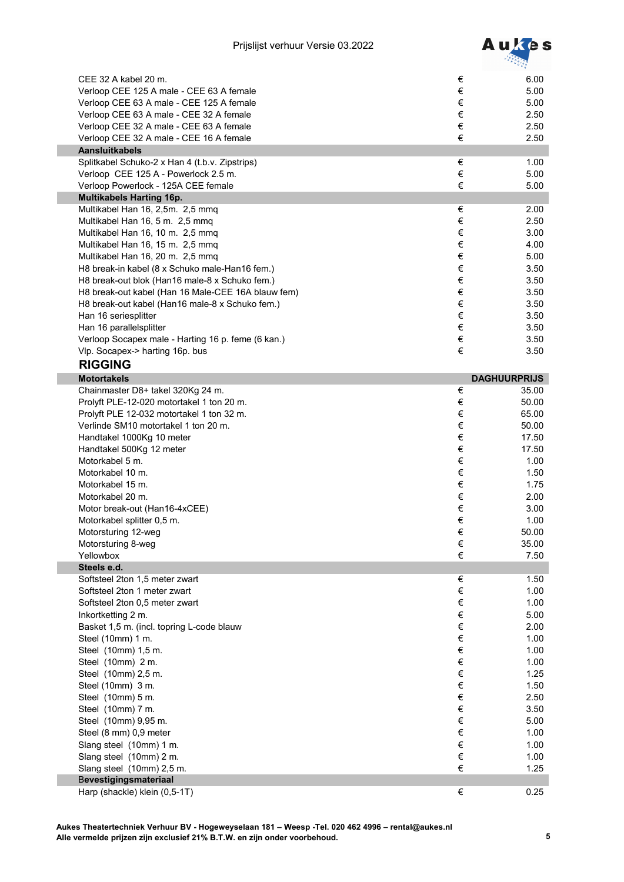

| CEE 32 A kabel 20 m.                               | €     | 6.00                |
|----------------------------------------------------|-------|---------------------|
| Verloop CEE 125 A male - CEE 63 A female           | €     | 5.00                |
| Verloop CEE 63 A male - CEE 125 A female           | €     | 5.00                |
| Verloop CEE 63 A male - CEE 32 A female            | €     | 2.50                |
| Verloop CEE 32 A male - CEE 63 A female            | €     | 2.50                |
| Verloop CEE 32 A male - CEE 16 A female            | €     | 2.50                |
| <b>Aansluitkabels</b>                              |       |                     |
| Splitkabel Schuko-2 x Han 4 (t.b.v. Zipstrips)     | €     | 1.00                |
| Verloop CEE 125 A - Powerlock 2.5 m.               | $\in$ | 5.00                |
| Verloop Powerlock - 125A CEE female                | €     | 5.00                |
| <b>Multikabels Harting 16p.</b>                    |       |                     |
| Multikabel Han 16, 2,5m. 2,5 mmq                   | €     | 2.00                |
| Multikabel Han 16, 5 m. 2,5 mmq                    | €     | 2.50                |
| Multikabel Han 16, 10 m. 2,5 mmq                   | €     | 3.00                |
| Multikabel Han 16, 15 m. 2,5 mmq                   | €     | 4.00                |
| Multikabel Han 16, 20 m. 2,5 mmq                   | €     | 5.00                |
| H8 break-in kabel (8 x Schuko male-Han16 fem.)     | €     | 3.50                |
| H8 break-out blok (Han16 male-8 x Schuko fem.)     | €     | 3.50                |
| H8 break-out kabel (Han 16 Male-CEE 16A blauw fem) | €     | 3.50                |
| H8 break-out kabel (Han16 male-8 x Schuko fem.)    | €     | 3.50                |
| Han 16 seriesplitter                               | €     | 3.50                |
| Han 16 parallelsplitter                            | €     | 3.50                |
| Verloop Socapex male - Harting 16 p. feme (6 kan.) | €     | 3.50                |
| Vlp. Socapex-> harting 16p. bus                    | €     | 3.50                |
| <b>RIGGING</b>                                     |       |                     |
| <b>Motortakels</b>                                 |       | <b>DAGHUURPRIJS</b> |
| Chainmaster D8+ takel 320Kg 24 m.                  | €     | 35.00               |
| Prolyft PLE-12-020 motortakel 1 ton 20 m.          | €     | 50.00               |
| Prolyft PLE 12-032 motortakel 1 ton 32 m.          | €     | 65.00               |
| Verlinde SM10 motortakel 1 ton 20 m.               | €     | 50.00               |
| Handtakel 1000Kg 10 meter                          | €     | 17.50               |
| Handtakel 500Kg 12 meter                           | €     | 17.50               |
| Motorkabel 5 m.                                    | €     | 1.00                |
| Motorkabel 10 m.                                   | €     | 1.50                |
| Motorkabel 15 m.                                   | €     | 1.75                |
| Motorkabel 20 m.                                   | €     | 2.00                |
| Motor break-out (Han16-4xCEE)                      | €     | 3.00                |
| Motorkabel splitter 0,5 m.                         | $\in$ | 1.00                |
| Motorsturing 12-weg                                | $\in$ | 50.00               |
| Motorsturing 8-weg                                 | €     | 35.00               |
| Yellowbox                                          | €     | 7.50                |
| Steels e.d.<br>Softsteel 2ton 1,5 meter zwart      | €     | 1.50                |
| Softsteel 2ton 1 meter zwart                       | $\in$ | 1.00                |
| Softsteel 2ton 0,5 meter zwart                     | $\in$ | 1.00                |
| Inkortketting 2 m.                                 | $\in$ | 5.00                |
| Basket 1,5 m. (incl. topring L-code blauw          | $\in$ | 2.00                |
| Steel (10mm) 1 m.                                  | $\in$ | 1.00                |
| Steel (10mm) 1,5 m.                                | €     | 1.00                |
| Steel (10mm) 2 m.                                  | $\in$ | 1.00                |
| Steel (10mm) 2,5 m.                                | $\in$ | 1.25                |
| Steel (10mm) 3 m.                                  | $\in$ | 1.50                |
| Steel (10mm) 5 m.                                  | €     | 2.50                |
| Steel (10mm) 7 m.                                  | €     | 3.50                |
| Steel (10mm) 9,95 m.                               | €     | 5.00                |
| Steel (8 mm) 0,9 meter                             | $\in$ | 1.00                |
| Slang steel (10mm) 1 m.                            | €     | 1.00                |
| Slang steel (10mm) 2 m.                            | €     | 1.00                |
| Slang steel (10mm) 2,5 m.                          | €     | 1.25                |
| Bevestigingsmateriaal                              |       |                     |
| Harp (shackle) klein (0,5-1T)                      | €     | 0.25                |
|                                                    |       |                     |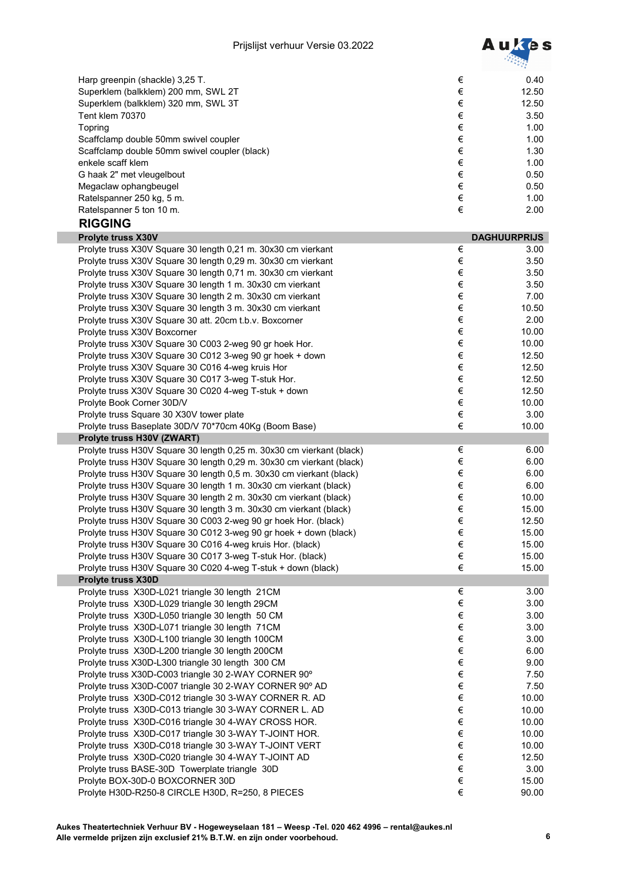

| Harp greenpin (shackle) 3,25 T.                                                                                                          | €          | 0.40                |
|------------------------------------------------------------------------------------------------------------------------------------------|------------|---------------------|
| Superklem (balkklem) 200 mm, SWL 2T                                                                                                      | $\in$      | 12.50               |
| Superklem (balkklem) 320 mm, SWL 3T                                                                                                      | $\in$      | 12.50               |
| Tent klem 70370                                                                                                                          | $\in$      | 3.50                |
| Topring                                                                                                                                  | €          | 1.00                |
| Scaffclamp double 50mm swivel coupler                                                                                                    | $\in$      | 1.00                |
| Scaffclamp double 50mm swivel coupler (black)                                                                                            | €          | 1.30                |
| enkele scaff klem                                                                                                                        | $\in$      | 1.00                |
| G haak 2" met vleugelbout                                                                                                                | $\in$      | 0.50                |
| Megaclaw ophangbeugel                                                                                                                    | $\in$      | 0.50                |
| Ratelspanner 250 kg, 5 m.                                                                                                                | $\in$      | 1.00                |
| Ratelspanner 5 ton 10 m.                                                                                                                 | €          | 2.00                |
| <b>RIGGING</b>                                                                                                                           |            |                     |
| Prolyte truss X30V                                                                                                                       |            | <b>DAGHUURPRIJS</b> |
| Prolyte truss X30V Square 30 length 0,21 m. 30x30 cm vierkant                                                                            | $\in$      | 3.00                |
| Prolyte truss X30V Square 30 length 0,29 m. 30x30 cm vierkant                                                                            | $\in$      | 3.50                |
| Prolyte truss X30V Square 30 length 0,71 m. 30x30 cm vierkant                                                                            | $\in$      | 3.50                |
| Prolyte truss X30V Square 30 length 1 m. 30x30 cm vierkant                                                                               | $\in$      | 3.50                |
| Prolyte truss X30V Square 30 length 2 m. 30x30 cm vierkant                                                                               | $\in$      | 7.00                |
| Prolyte truss X30V Square 30 length 3 m. 30x30 cm vierkant                                                                               | $\in$      | 10.50               |
| Prolyte truss X30V Square 30 att. 20cm t.b.v. Boxcorner                                                                                  | $\in$      | 2.00                |
|                                                                                                                                          | $\in$      |                     |
| Prolyte truss X30V Boxcorner                                                                                                             | $\in$      | 10.00               |
| Prolyte truss X30V Square 30 C003 2-weg 90 gr hoek Hor.                                                                                  | $\in$      | 10.00               |
| Prolyte truss X30V Square 30 C012 3-weg 90 gr hoek + down                                                                                |            | 12.50               |
| Prolyte truss X30V Square 30 C016 4-weg kruis Hor                                                                                        | $\in$<br>€ | 12.50               |
| Prolyte truss X30V Square 30 C017 3-weg T-stuk Hor.                                                                                      | $\in$      | 12.50               |
| Prolyte truss X30V Square 30 C020 4-weg T-stuk + down                                                                                    |            | 12.50               |
| Prolyte Book Corner 30D/V                                                                                                                | $\in$      | 10.00               |
| Prolyte truss Square 30 X30V tower plate                                                                                                 | $\in$      | 3.00                |
| Prolyte truss Baseplate 30D/V 70*70cm 40Kg (Boom Base)                                                                                   | €          | 10.00               |
| Prolyte truss H30V (ZWART)                                                                                                               | €          |                     |
| Prolyte truss H30V Square 30 length 0,25 m. 30x30 cm vierkant (black)                                                                    | $\in$      | 6.00                |
| Prolyte truss H30V Square 30 length 0,29 m. 30x30 cm vierkant (black)                                                                    | $\in$      | 6.00<br>6.00        |
| Prolyte truss H30V Square 30 length 0,5 m. 30x30 cm vierkant (black)                                                                     | $\in$      | 6.00                |
| Prolyte truss H30V Square 30 length 1 m. 30x30 cm vierkant (black)<br>Prolyte truss H30V Square 30 length 2 m. 30x30 cm vierkant (black) | $\in$      | 10.00               |
|                                                                                                                                          | €          |                     |
| Prolyte truss H30V Square 30 length 3 m. 30x30 cm vierkant (black)<br>Prolyte truss H30V Square 30 C003 2-weg 90 gr hoek Hor. (black)    | €          | 15.00               |
|                                                                                                                                          | €          | 12.50               |
| Prolyte truss H30V Square 30 C012 3-weg 90 gr hoek + down (black)<br>Prolyte truss H30V Square 30 C016 4-weg kruis Hor. (black)          | $\in$      | 15.00<br>15.00      |
| Prolyte truss H30V Square 30 C017 3-weg T-stuk Hor. (black)                                                                              | $\in$      | 15.00               |
| Prolyte truss H30V Square 30 C020 4-weg T-stuk + down (black)                                                                            | €          | 15.00               |
| <b>Prolyte truss X30D</b>                                                                                                                |            |                     |
| Prolyte truss X30D-L021 triangle 30 length 21CM                                                                                          | €          | 3.00                |
| Prolyte truss X30D-L029 triangle 30 length 29CM                                                                                          | €          | 3.00                |
| Prolyte truss X30D-L050 triangle 30 length 50 CM                                                                                         | $\in$      | 3.00                |
| Prolyte truss X30D-L071 triangle 30 length 71CM                                                                                          | $\in$      | 3.00                |
| Prolyte truss X30D-L100 triangle 30 length 100CM                                                                                         | $\in$      | 3.00                |
| Prolyte truss X30D-L200 triangle 30 length 200CM                                                                                         | $\in$      | 6.00                |
| Prolyte truss X30D-L300 triangle 30 length 300 CM                                                                                        | $\in$      | 9.00                |
| Prolyte truss X30D-C003 triangle 30 2-WAY CORNER 90°                                                                                     | $\in$      | 7.50                |
| Prolyte truss X30D-C007 triangle 30 2-WAY CORNER 90° AD                                                                                  | $\in$      | 7.50                |
| Prolyte truss X30D-C012 triangle 30 3-WAY CORNER R. AD                                                                                   | €          | 10.00               |
| Prolyte truss X30D-C013 triangle 30 3-WAY CORNER L. AD                                                                                   | $\in$      | 10.00               |
| Prolyte truss X30D-C016 triangle 30 4-WAY CROSS HOR.                                                                                     | $\in$      | 10.00               |
| Prolyte truss X30D-C017 triangle 30 3-WAY T-JOINT HOR.                                                                                   | $\in$      | 10.00               |
| Prolyte truss X30D-C018 triangle 30 3-WAY T-JOINT VERT                                                                                   | $\in$      | 10.00               |
| Prolyte truss X30D-C020 triangle 30 4-WAY T-JOINT AD                                                                                     | $\in$      | 12.50               |
| Prolyte truss BASE-30D Towerplate triangle 30D                                                                                           | $\in$      | 3.00                |
| Prolyte BOX-30D-0 BOXCORNER 30D                                                                                                          | $\in$      | 15.00               |
| Prolyte H30D-R250-8 CIRCLE H30D, R=250, 8 PIECES                                                                                         | €          | 90.00               |
|                                                                                                                                          |            |                     |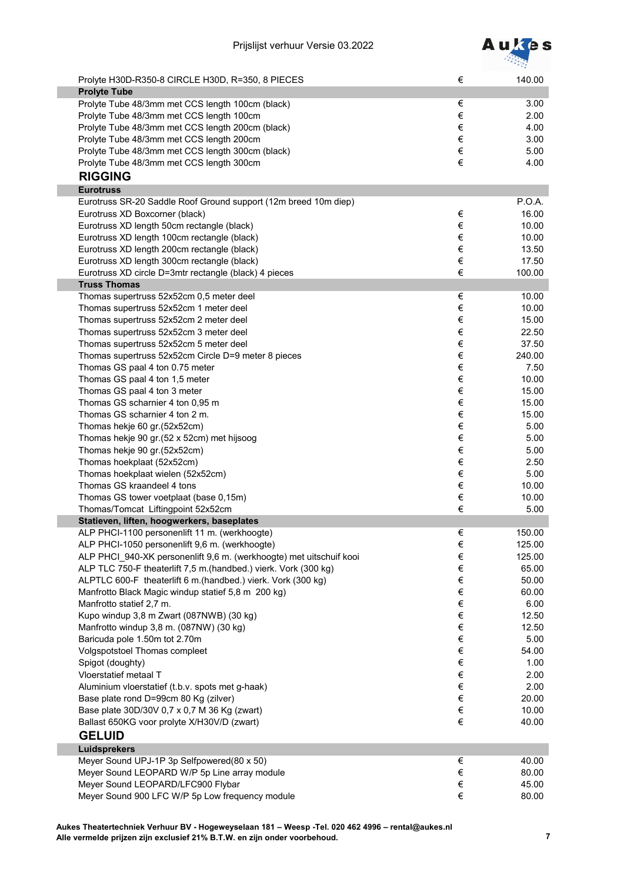

| Prolyte H30D-R350-8 CIRCLE H30D, R=350, 8 PIECES<br><b>Prolyte Tube</b> | €     | 140.00 |
|-------------------------------------------------------------------------|-------|--------|
| Prolyte Tube 48/3mm met CCS length 100cm (black)                        | €     | 3.00   |
| Prolyte Tube 48/3mm met CCS length 100cm                                | €     | 2.00   |
| Prolyte Tube 48/3mm met CCS length 200cm (black)                        | €     | 4.00   |
| Prolyte Tube 48/3mm met CCS length 200cm                                | $\in$ | 3.00   |
| Prolyte Tube 48/3mm met CCS length 300cm (black)                        | $\in$ | 5.00   |
| Prolyte Tube 48/3mm met CCS length 300cm                                | €     | 4.00   |
|                                                                         |       |        |
| <b>RIGGING</b>                                                          |       |        |
| <b>Eurotruss</b>                                                        |       |        |
| Eurotruss SR-20 Saddle Roof Ground support (12m breed 10m diep)         |       | P.O.A. |
| Eurotruss XD Boxcorner (black)                                          | €     | 16.00  |
| Eurotruss XD length 50cm rectangle (black)                              | $\in$ | 10.00  |
| Eurotruss XD length 100cm rectangle (black)                             | $\in$ | 10.00  |
| Eurotruss XD length 200cm rectangle (black)                             | $\in$ | 13.50  |
| Eurotruss XD length 300cm rectangle (black)                             | $\in$ | 17.50  |
| Eurotruss XD circle D=3mtr rectangle (black) 4 pieces                   | €     | 100.00 |
| <b>Truss Thomas</b>                                                     |       |        |
| Thomas supertruss 52x52cm 0,5 meter deel                                | €     | 10.00  |
| Thomas supertruss 52x52cm 1 meter deel                                  | €     | 10.00  |
| Thomas supertruss 52x52cm 2 meter deel                                  | €     | 15.00  |
|                                                                         | €     |        |
| Thomas supertruss 52x52cm 3 meter deel                                  |       | 22.50  |
| Thomas supertruss 52x52cm 5 meter deel                                  | €     | 37.50  |
| Thomas supertruss 52x52cm Circle D=9 meter 8 pieces                     | €     | 240.00 |
| Thomas GS paal 4 ton 0.75 meter                                         | $\in$ | 7.50   |
| Thomas GS paal 4 ton 1,5 meter                                          | $\in$ | 10.00  |
| Thomas GS paal 4 ton 3 meter                                            | $\in$ | 15.00  |
| Thomas GS scharnier 4 ton 0,95 m                                        | $\in$ | 15.00  |
| Thomas GS scharnier 4 ton 2 m.                                          | €     | 15.00  |
| Thomas hekje 60 gr.(52x52cm)                                            | €     | 5.00   |
| Thomas hekje 90 gr.(52 x 52cm) met hijsoog                              | €     | 5.00   |
| Thomas hekje 90 gr.(52x52cm)                                            | €     | 5.00   |
| Thomas hoekplaat (52x52cm)                                              | €     | 2.50   |
| Thomas hoekplaat wielen (52x52cm)                                       | €     | 5.00   |
| Thomas GS kraandeel 4 tons                                              | €     | 10.00  |
| Thomas GS tower voetplaat (base 0,15m)                                  | €     | 10.00  |
| Thomas/Tomcat Liftingpoint 52x52cm                                      | €     | 5.00   |
|                                                                         |       |        |
| Statieven, liften, hoogwerkers, baseplates                              |       |        |
| ALP PHCI-1100 personenlift 11 m. (werkhoogte)                           | €     | 150.00 |
| ALP PHCI-1050 personenlift 9,6 m. (werkhoogte)                          | €     | 125.00 |
| ALP PHCI 940-XK personenlift 9,6 m. (werkhoogte) met uitschuif kooi     | $\in$ | 125.00 |
| ALP TLC 750-F theaterlift 7,5 m.(handbed.) vierk. Vork (300 kg)         | €     | 65.00  |
| ALPTLC 600-F theaterlift 6 m.(handbed.) vierk. Vork (300 kg)            | €     | 50.00  |
| Manfrotto Black Magic windup statief 5,8 m 200 kg)                      | €     | 60.00  |
| Manfrotto statief 2,7 m.                                                | €     | 6.00   |
| Kupo windup 3,8 m Zwart (087NWB) (30 kg)                                | €     | 12.50  |
| Manfrotto windup 3,8 m. (087NW) (30 kg)                                 | €     | 12.50  |
| Baricuda pole 1.50m tot 2.70m                                           | €     | 5.00   |
| Volgspotstoel Thomas compleet                                           | €     | 54.00  |
| Spigot (doughty)                                                        | €     | 1.00   |
| Vloerstatief metaal T                                                   | €     | 2.00   |
| Aluminium vloerstatief (t.b.v. spots met g-haak)                        | €     | 2.00   |
| Base plate rond D=99cm 80 Kg (zilver)                                   | €     | 20.00  |
| Base plate 30D/30V 0,7 x 0,7 M 36 Kg (zwart)                            | €     | 10.00  |
| Ballast 650KG voor prolyte X/H30V/D (zwart)                             | €     | 40.00  |
|                                                                         |       |        |
| <b>GELUID</b>                                                           |       |        |
| Luidsprekers                                                            |       |        |
| Meyer Sound UPJ-1P 3p Selfpowered(80 x 50)                              | €     | 40.00  |
| Meyer Sound LEOPARD W/P 5p Line array module                            | $\in$ | 80.00  |
| Meyer Sound LEOPARD/LFC900 Flybar                                       | €     | 45.00  |
| Meyer Sound 900 LFC W/P 5p Low frequency module                         | €     | 80.00  |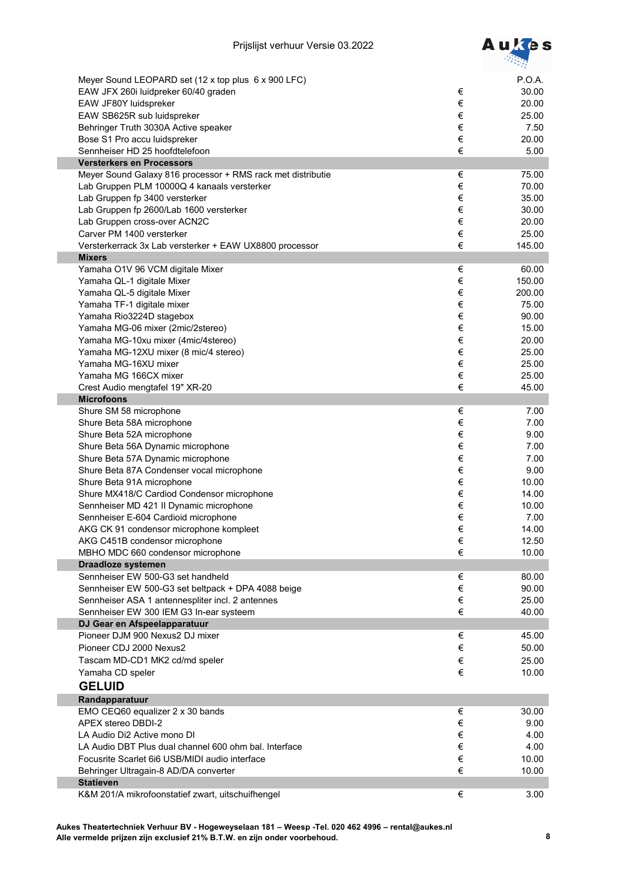

| Meyer Sound LEOPARD set (12 x top plus 6 x 900 LFC)         |       | P.O.A. |
|-------------------------------------------------------------|-------|--------|
| EAW JFX 260i luidpreker 60/40 graden                        | $\in$ | 30.00  |
| EAW JF80Y luidspreker                                       | €     | 20.00  |
| EAW SB625R sub luidspreker                                  | €     | 25.00  |
| Behringer Truth 3030A Active speaker                        | €     | 7.50   |
| Bose S1 Pro accu luidspreker                                | €     | 20.00  |
|                                                             | €     |        |
| Sennheiser HD 25 hoofdtelefoon                              |       | 5.00   |
| <b>Versterkers en Processors</b>                            |       |        |
| Meyer Sound Galaxy 816 processor + RMS rack met distributie | $\in$ | 75.00  |
| Lab Gruppen PLM 10000Q 4 kanaals versterker                 | €     | 70.00  |
| Lab Gruppen fp 3400 versterker                              | €     | 35.00  |
| Lab Gruppen fp 2600/Lab 1600 versterker                     | €     | 30.00  |
| Lab Gruppen cross-over ACN2C                                | €     | 20.00  |
| Carver PM 1400 versterker                                   | €     | 25.00  |
| Versterkerrack 3x Lab versterker + EAW UX8800 processor     | €     | 145.00 |
| <b>Mixers</b>                                               |       |        |
| Yamaha O1V 96 VCM digitale Mixer                            | €     | 60.00  |
| Yamaha QL-1 digitale Mixer                                  | €     | 150.00 |
| Yamaha QL-5 digitale Mixer                                  | €     | 200.00 |
| Yamaha TF-1 digitale mixer                                  | €     | 75.00  |
| Yamaha Rio3224D stagebox                                    | €     | 90.00  |
| Yamaha MG-06 mixer (2mic/2stereo)                           | €     | 15.00  |
| Yamaha MG-10xu mixer (4mic/4stereo)                         | €     | 20.00  |
| Yamaha MG-12XU mixer (8 mic/4 stereo)                       | €     | 25.00  |
| Yamaha MG-16XU mixer                                        | €     | 25.00  |
| Yamaha MG 166CX mixer                                       | €     | 25.00  |
| Crest Audio mengtafel 19" XR-20                             | €     | 45.00  |
| <b>Microfoons</b>                                           |       |        |
| Shure SM 58 microphone                                      | €     | 7.00   |
| Shure Beta 58A microphone                                   | €     | 7.00   |
| Shure Beta 52A microphone                                   | €     | 9.00   |
|                                                             | €     | 7.00   |
| Shure Beta 56A Dynamic microphone                           | €     |        |
| Shure Beta 57A Dynamic microphone                           |       | 7.00   |
| Shure Beta 87A Condenser vocal microphone                   | €     | 9.00   |
| Shure Beta 91A microphone                                   | €     | 10.00  |
| Shure MX418/C Cardiod Condensor microphone                  | €     | 14.00  |
| Sennheiser MD 421 II Dynamic microphone                     | €     | 10.00  |
| Sennheiser E-604 Cardioid microphone                        | €     | 7.00   |
| AKG CK 91 condensor microphone kompleet                     | €     | 14.00  |
| AKG C451B condensor microphone                              | €     | 12.50  |
| MBHO MDC 660 condensor microphone                           | €     | 10.00  |
| Draadloze systemen                                          |       |        |
| Sennheiser EW 500-G3 set handheld                           | €     | 80.00  |
| Sennheiser EW 500-G3 set beltpack + DPA 4088 beige          | €     | 90.00  |
| Sennheiser ASA 1 antennespliter incl. 2 antennes            | €     | 25.00  |
| Sennheiser EW 300 IEM G3 In-ear systeem                     | €     | 40.00  |
| DJ Gear en Afspeelapparatuur                                |       |        |
| Pioneer DJM 900 Nexus2 DJ mixer                             | €     | 45.00  |
| Pioneer CDJ 2000 Nexus2                                     | €     | 50.00  |
| Tascam MD-CD1 MK2 cd/md speler                              | €     | 25.00  |
| Yamaha CD speler                                            | €     | 10.00  |
| <b>GELUID</b>                                               |       |        |
|                                                             |       |        |
| Randapparatuur                                              |       |        |
| EMO CEQ60 equalizer 2 x 30 bands                            | €     | 30.00  |
| APEX stereo DBDI-2                                          | €     | 9.00   |
| LA Audio Di2 Active mono DI                                 | €     | 4.00   |
| LA Audio DBT Plus dual channel 600 ohm bal. Interface       | €     | 4.00   |
| Focusrite Scarlet 6i6 USB/MIDI audio interface              | €     | 10.00  |
| Behringer Ultragain-8 AD/DA converter                       | €     | 10.00  |
| <b>Statieven</b>                                            |       |        |
| K&M 201/A mikrofoonstatief zwart, uitschuifhengel           | €     | 3.00   |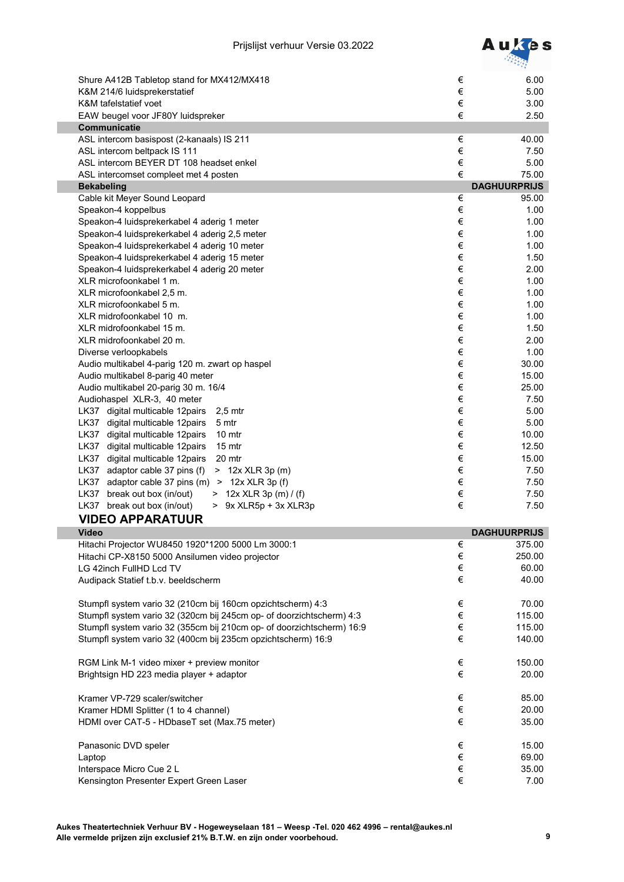

|                                                                       |        | $\sqrt{a}$          |
|-----------------------------------------------------------------------|--------|---------------------|
| Shure A412B Tabletop stand for MX412/MX418                            | €      | 6.00                |
| K&M 214/6 luidsprekerstatief                                          | €      | 5.00                |
| K&M tafelstatief voet                                                 | €      | 3.00                |
| EAW beugel voor JF80Y luidspreker                                     | €      | 2.50                |
| <b>Communicatie</b>                                                   |        |                     |
| ASL intercom basispost (2-kanaals) IS 211                             | €      | 40.00               |
| ASL intercom beltpack IS 111                                          | $\in$  | 7.50                |
| ASL intercom BEYER DT 108 headset enkel                               | €      | 5.00                |
| ASL intercomset compleet met 4 posten                                 | €      | 75.00               |
| <b>Bekabeling</b>                                                     |        | <b>DAGHUURPRIJS</b> |
| Cable kit Meyer Sound Leopard                                         | €<br>€ | 95.00               |
| Speakon-4 koppelbus<br>Speakon-4 luidsprekerkabel 4 aderig 1 meter    | $\in$  | 1.00<br>1.00        |
| Speakon-4 luidsprekerkabel 4 aderig 2,5 meter                         | $\in$  | 1.00                |
| Speakon-4 luidsprekerkabel 4 aderig 10 meter                          | €      | 1.00                |
| Speakon-4 luidsprekerkabel 4 aderig 15 meter                          | $\in$  | 1.50                |
| Speakon-4 luidsprekerkabel 4 aderig 20 meter                          | $\in$  | 2.00                |
| XLR microfoonkabel 1 m.                                               | €      | 1.00                |
| XLR microfoonkabel 2,5 m.                                             | $\in$  | 1.00                |
| XLR microfoonkabel 5 m.                                               | $\in$  | 1.00                |
| XLR midrofoonkabel 10 m.                                              | €      | 1.00                |
| XLR midrofoonkabel 15 m.                                              | $\in$  | 1.50                |
| XLR midrofoonkabel 20 m.                                              | $\in$  | 2.00                |
| Diverse verloopkabels                                                 | $\in$  | 1.00                |
| Audio multikabel 4-parig 120 m. zwart op haspel                       | $\in$  | 30.00               |
| Audio multikabel 8-parig 40 meter                                     | $\in$  | 15.00               |
| Audio multikabel 20-parig 30 m. 16/4                                  | $\in$  | 25.00               |
| Audiohaspel XLR-3, 40 meter                                           | €      | 7.50                |
| LK37 digital multicable 12pairs<br>$2,5$ mtr                          | $\in$  | 5.00                |
| LK37 digital multicable 12pairs<br>5 mtr                              | €      | 5.00                |
| LK37 digital multicable 12pairs<br>10 <sub>mtr</sub>                  | €      | 10.00               |
| LK37 digital multicable 12pairs<br>15 mtr                             | €      | 12.50               |
| LK37 digital multicable 12pairs<br>20 mtr                             | €      | 15.00               |
| LK37 adaptor cable 37 pins (f)<br>> 12x XLR 3p (m)                    | €      | 7.50                |
| adaptor cable 37 pins (m)<br>LK37<br>$> 12x$ XLR 3p (f)               | €      | 7.50                |
| LK37 break out box (in/out)<br>> 12x XLR 3p (m) / (f)                 | €      | 7.50                |
| LK37 break out box (in/out)<br>> 9x XLR5p + 3x XLR3p                  | €      | 7.50                |
| <b>VIDEO APPARATUUR</b>                                               |        |                     |
| <b>Video</b>                                                          |        | <b>DAGHUURPRIJS</b> |
| Hitachi Projector WU8450 1920*1200 5000 Lm 3000:1                     | €      | 375.00              |
| Hitachi CP-X8150 5000 Ansilumen video projector                       | €      | 250.00              |
| LG 42inch FullHD Lcd TV                                               | €      | 60.00               |
| Audipack Statief t.b.v. beeldscherm                                   | €      | 40.00               |
|                                                                       |        |                     |
| Stumpfl system vario 32 (210cm bij 160cm opzichtscherm) 4:3           | $\in$  | 70.00               |
| Stumpfl system vario 32 (320cm bij 245cm op- of doorzichtscherm) 4:3  | €      | 115.00              |
| Stumpfl system vario 32 (355cm bij 210cm op- of doorzichtscherm) 16:9 | €      | 115.00              |
| Stumpfl system vario 32 (400cm bij 235cm opzichtscherm) 16:9          | $\in$  | 140.00              |
|                                                                       |        |                     |
| RGM Link M-1 video mixer + preview monitor                            | $\in$  | 150.00              |
| Brightsign HD 223 media player + adaptor                              | $\in$  | 20.00               |
|                                                                       |        |                     |
| Kramer VP-729 scaler/switcher                                         | €      | 85.00               |
| Kramer HDMI Splitter (1 to 4 channel)                                 | $\in$  | 20.00               |
| HDMI over CAT-5 - HDbaseT set (Max.75 meter)                          | €      | 35.00               |
|                                                                       |        |                     |
| Panasonic DVD speler                                                  | $\in$  | 15.00               |
| Laptop                                                                | $\in$  | 69.00               |
| Interspace Micro Cue 2 L                                              | €      | 35.00               |
| Kensington Presenter Expert Green Laser                               | €      | 7.00                |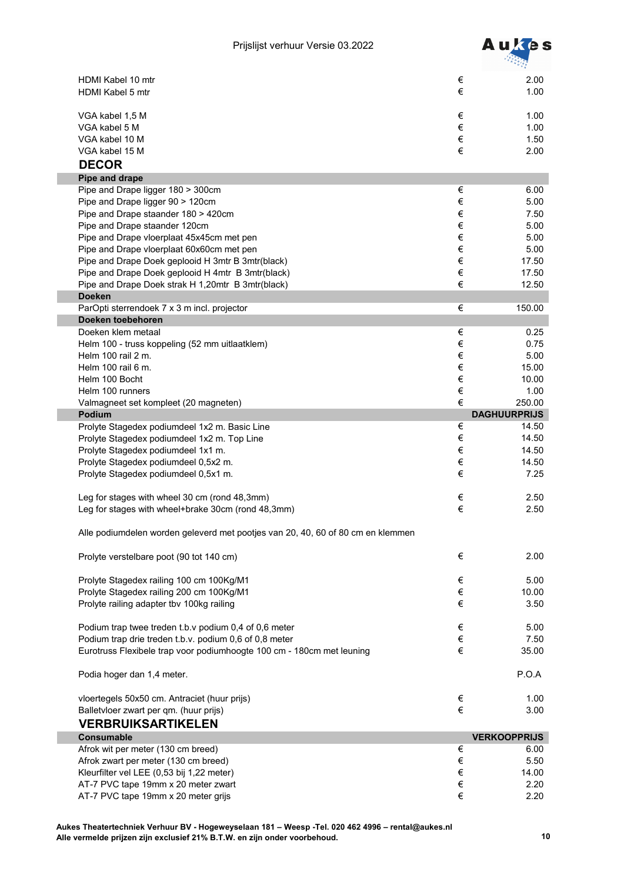

| €<br>HDMI Kabel 5 mtr                                                                          | 2.00<br>1.00                |
|------------------------------------------------------------------------------------------------|-----------------------------|
| €<br>VGA kabel 1,5 M                                                                           | 1.00                        |
| $\in$<br>VGA kabel 5 M                                                                         | 1.00                        |
| $\in$<br>VGA kabel 10 M                                                                        | 1.50                        |
| €<br>VGA kabel 15 M                                                                            | 2.00                        |
| <b>DECOR</b>                                                                                   |                             |
| Pipe and drape                                                                                 |                             |
| $\in$<br>Pipe and Drape ligger 180 > 300cm                                                     | 6.00                        |
| €<br>Pipe and Drape ligger 90 > 120cm                                                          | 5.00                        |
| €<br>Pipe and Drape staander 180 > 420cm                                                       | 7.50                        |
| $\in$<br>Pipe and Drape staander 120cm                                                         | 5.00                        |
| $\in$<br>Pipe and Drape vloerplaat 45x45cm met pen                                             | 5.00                        |
| $\in$<br>Pipe and Drape vloerplaat 60x60cm met pen                                             | 5.00                        |
| €<br>Pipe and Drape Doek geplooid H 3mtr B 3mtr(black)                                         | 17.50                       |
| $\in$<br>Pipe and Drape Doek geplooid H 4mtr B 3mtr(black)                                     | 17.50                       |
| €<br>Pipe and Drape Doek strak H 1,20mtr B 3mtr(black)                                         | 12.50                       |
| <b>Doeken</b>                                                                                  |                             |
| €<br>ParOpti sterrendoek 7 x 3 m incl. projector                                               | 150.00                      |
| Doeken toebehoren                                                                              |                             |
| Doeken klem metaal<br>€                                                                        | 0.25                        |
| $\in$<br>Helm 100 - truss koppeling (52 mm uitlaatklem)                                        | 0.75                        |
| $\in$<br>Helm 100 rail 2 m.                                                                    | 5.00                        |
| $\in$<br>Helm 100 rail 6 m.                                                                    | 15.00                       |
| $\in$<br>Helm 100 Bocht                                                                        | 10.00                       |
| $\in$<br>Helm 100 runners                                                                      | 1.00                        |
| €<br>Valmagneet set kompleet (20 magneten)                                                     | 250.00                      |
| <b>Podium</b>                                                                                  | <b>DAGHUURPRIJS</b>         |
| Prolyte Stagedex podiumdeel 1x2 m. Basic Line<br>€                                             | 14.50                       |
| €<br>Prolyte Stagedex podiumdeel 1x2 m. Top Line                                               | 14.50                       |
| €<br>Prolyte Stagedex podiumdeel 1x1 m.                                                        | 14.50                       |
| €<br>Prolyte Stagedex podiumdeel 0,5x2 m.                                                      | 14.50                       |
| €<br>Prolyte Stagedex podiumdeel 0,5x1 m.                                                      | 7.25                        |
|                                                                                                |                             |
| Leg for stages with wheel 30 cm (rond 48,3mm)<br>€                                             |                             |
|                                                                                                | 2.50                        |
| €<br>Leg for stages with wheel+brake 30cm (rond 48,3mm)                                        | 2.50                        |
|                                                                                                |                             |
| Alle podiumdelen worden geleverd met pootjes van 20, 40, 60 of 80 cm en klemmen                |                             |
| $\in$<br>Prolyte verstelbare poot (90 tot 140 cm)                                              | 2.00                        |
|                                                                                                |                             |
| Prolyte Stagedex railing 100 cm 100Kg/M1<br>€                                                  | 5.00                        |
| $\in$<br>Prolyte Stagedex railing 200 cm 100Kg/M1                                              | 10.00                       |
| Prolyte railing adapter tbv 100kg railing<br>€                                                 | 3.50                        |
|                                                                                                |                             |
| Podium trap twee treden t.b.v podium 0,4 of 0,6 meter<br>€                                     | 5.00                        |
| $\in$<br>Podium trap drie treden t.b.v. podium 0,6 of 0,8 meter                                | 7.50                        |
| $\in$<br>Eurotruss Flexibele trap voor podiumhoogte 100 cm - 180cm met leuning                 | 35.00                       |
| Podia hoger dan 1,4 meter.                                                                     | P.O.A                       |
|                                                                                                | 1.00                        |
| $\in$<br>vloertegels 50x50 cm. Antraciet (huur prijs)<br>€                                     | 3.00                        |
| Balletvloer zwart per qm. (huur prijs)                                                         |                             |
| <b>VERBRUIKSARTIKELEN</b>                                                                      |                             |
| <b>Consumable</b>                                                                              | <b>VERKOOPPRIJS</b><br>6.00 |
| Afrok wit per meter (130 cm breed)<br>€                                                        |                             |
| Afrok zwart per meter (130 cm breed)<br>$\in$                                                  | 5.50                        |
| Kleurfilter vel LEE (0,53 bij 1,22 meter)<br>$\in$<br>AT-7 PVC tape 19mm x 20 meter zwart<br>€ | 14.00<br>2.20               |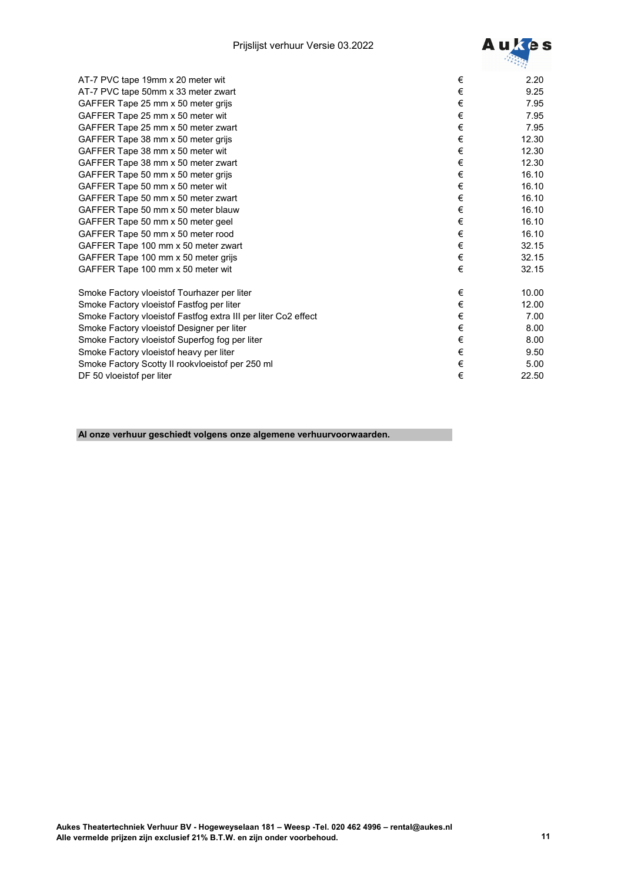

| AT-7 PVC tape 19mm x 20 meter wit                              | €     | 2.20  |
|----------------------------------------------------------------|-------|-------|
| AT-7 PVC tape 50mm x 33 meter zwart                            | €     | 9.25  |
| GAFFER Tape 25 mm x 50 meter grijs                             | €     | 7.95  |
| GAFFER Tape 25 mm x 50 meter wit                               | €     | 7.95  |
| GAFFER Tape 25 mm x 50 meter zwart                             | €     | 7.95  |
| GAFFER Tape 38 mm x 50 meter grijs                             | €     | 12.30 |
| GAFFER Tape 38 mm x 50 meter wit                               | $\in$ | 12.30 |
| GAFFER Tape 38 mm x 50 meter zwart                             | €     | 12.30 |
| GAFFER Tape 50 mm x 50 meter grijs                             | €     | 16.10 |
| GAFFER Tape 50 mm x 50 meter wit                               | €     | 16.10 |
| GAFFER Tape 50 mm x 50 meter zwart                             | €     | 16.10 |
| GAFFER Tape 50 mm x 50 meter blauw                             | €     | 16.10 |
| GAFFER Tape 50 mm x 50 meter geel                              | €     | 16.10 |
| GAFFER Tape 50 mm x 50 meter rood                              | €     | 16.10 |
| GAFFER Tape 100 mm x 50 meter zwart                            | €     | 32.15 |
| GAFFER Tape 100 mm x 50 meter grijs                            | €     | 32.15 |
| GAFFER Tape 100 mm x 50 meter wit                              | €     | 32.15 |
| Smoke Factory vloeistof Tourhazer per liter                    | €     | 10.00 |
| Smoke Factory vloeistof Fastfog per liter                      | $\in$ | 12.00 |
| Smoke Factory vloeistof Fastfog extra III per liter Co2 effect | €     | 7.00  |
| Smoke Factory vloeistof Designer per liter                     | €     | 8.00  |
| Smoke Factory vloeistof Superfog fog per liter                 | €     | 8.00  |
| Smoke Factory vloeistof heavy per liter                        | €     | 9.50  |
| Smoke Factory Scotty II rookvloeistof per 250 ml               | €     | 5.00  |
| DF 50 vloeistof per liter                                      | €     | 22.50 |

**Al onze verhuur geschiedt volgens onze algemene verhuurvoorwaarden.**